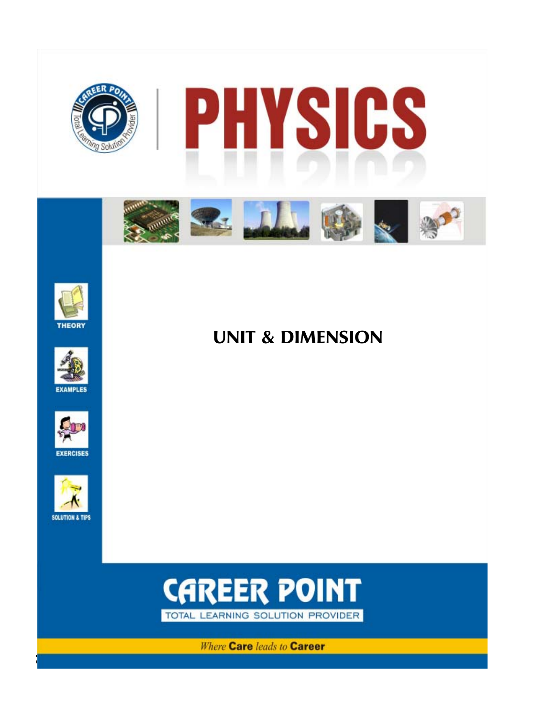







**EXERCISES** 



UNIT & DIMENSION



**Where Care leads to Career**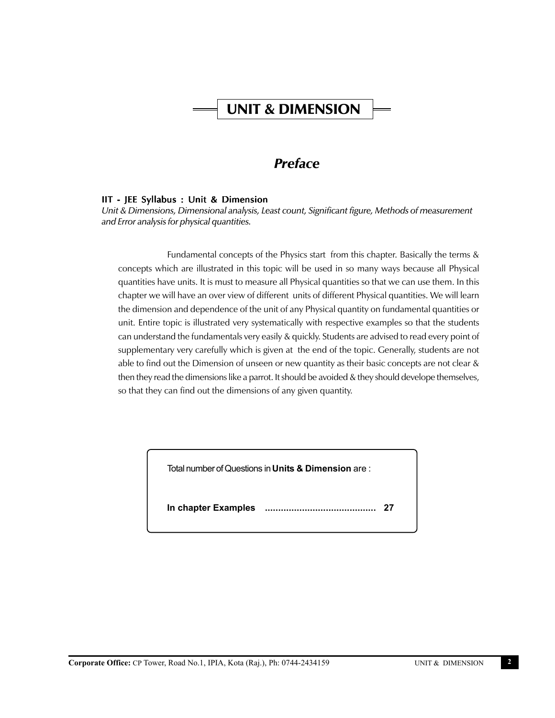# UNIT & DIMENSION

# *Preface*

# IIT - JEE Syllabus : Unit & Dimension

*Unit & Dimensions, Dimensional analysis, Least count, Significant figure, Methods of measurement and Error analysis for physical quantities.*

Fundamental concepts of the Physics start from this chapter. Basically the terms & concepts which are illustrated in this topic will be used in so many ways because all Physical quantities have units. It is must to measure all Physical quantities so that we can use them. In this chapter we will have an over view of different units of different Physical quantities. We will learn the dimension and dependence of the unit of any Physical quantity on fundamental quantities or unit. Entire topic is illustrated very systematically with respective examples so that the students can understand the fundamentals very easily & quickly. Students are advised to read every point of supplementary very carefully which is given at the end of the topic. Generally, students are not able to find out the Dimension of unseen or new quantity as their basic concepts are not clear & then they read the dimensions like a parrot. It should be avoided & they should develope themselves, so that they can find out the dimensions of any given quantity.

Total number of Questions in **Units & Dimension** are :

**In chapter Examples .......................................... 27**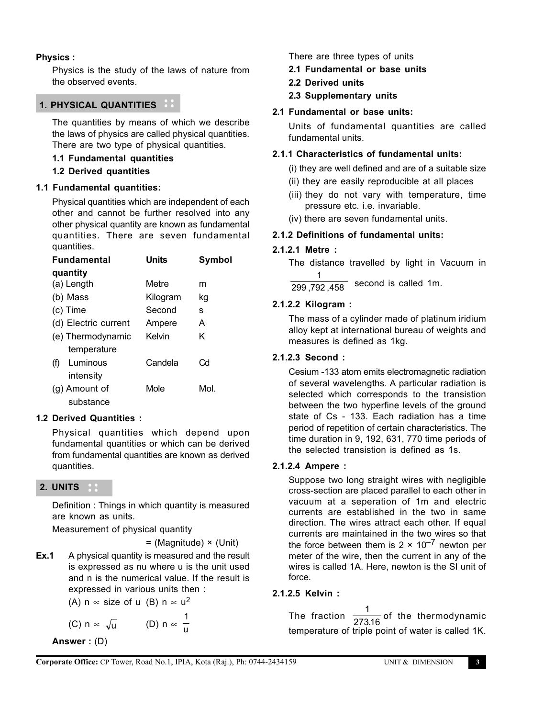# **Physics :**

Physics is the study of the laws of nature from the observed events.

# **1. PHYSICAL QUANTITIES**

The quantities by means of which we describe the laws of physics are called physical quantities. There are two type of physical quantities.

#### **1.1 Fundamental quantities**

#### **1.2 Derived quantities**

#### **1.1 Fundamental quantities:**

Physical quantities which are independent of each other and cannot be further resolved into any other physical quantity are known as fundamental quantities. There are seven fundamental quantities.

| <b>Fundamental</b>   | Units    | Symbol |
|----------------------|----------|--------|
| quantity             |          |        |
| (a) Length           | Metre    | m      |
| (b) Mass             | Kilogram | kg     |
| (c) Time             | Second   | s      |
| (d) Electric current | Ampere   | A      |
| (e) Thermodynamic    | Kelvin   | κ      |
| temperature          |          |        |
| Luminous<br>(f)      | Candela  | Cd     |
| intensitv            |          |        |
| (g) Amount of        | Mole     | Mol.   |
| substance            |          |        |

#### **1.2 Derived Quantities :**

Physical quantities which depend upon fundamental quantities or which can be derived from fundamental quantities are known as derived quantities.

# **2. UNITS**

Definition : Things in which quantity is measured are known as units.

Measurement of physical quantity

= (Magnitude) × (Unit)

**Ex.1** A physical quantity is measured and the result is expressed as nu where u is the unit used and n is the numerical value. If the result is expressed in various units then :

(A) n  $\propto$  size of u (B) n  $\propto$  u<sup>2</sup>

(C) 
$$
n \propto \sqrt{u}
$$
 (D)  $n \propto \frac{1}{u}$ 

**Answer :** (D)

There are three types of units

- **2.1 Fundamental or base units**
- **2.2 Derived units**
- **2.3 Supplementary units**

# **2.1 Fundamental or base units:**

Units of fundamental quantities are called fundamental units.

#### **2.1.1 Characteristics of fundamental units:**

(i) they are well defined and are of a suitable size

- (ii) they are easily reproducible at all places
- (iii) they do not vary with temperature, time pressure etc. i.e. invariable.
- (iv) there are seven fundamental units.

#### **2.1.2 Definitions of fundamental units:**

# **2.1.2.1 Metre :**

The distance travelled by light in Vacuum in 1

299 ,792 ,458 second is called 1m.

# **2.1.2.2 Kilogram :**

The mass of a cylinder made of platinum iridium alloy kept at international bureau of weights and measures is defined as 1kg.

# **2.1.2.3 Second :**

Cesium -133 atom emits electromagnetic radiation of several wavelengths. A particular radiation is selected which corresponds to the transistion between the two hyperfine levels of the ground state of Cs - 133. Each radiation has a time period of repetition of certain characteristics. The time duration in 9, 192, 631, 770 time periods of the selected transistion is defined as 1s.

#### **2.1.2.4 Ampere :**

Suppose two long straight wires with negligible cross-section are placed parallel to each other in vacuum at a seperation of 1m and electric currents are established in the two in same direction. The wires attract each other. If equal currents are maintained in the two wires so that the force between them is  $2 \times 10^{-7}$  newton per meter of the wire, then the current in any of the wires is called 1A. Here, newton is the SI unit of force.

# **2.1.2.5 Kelvin :**

The fraction  $\frac{1}{273.16}$  of the thermodynamic temperature of triple point of water is called 1K.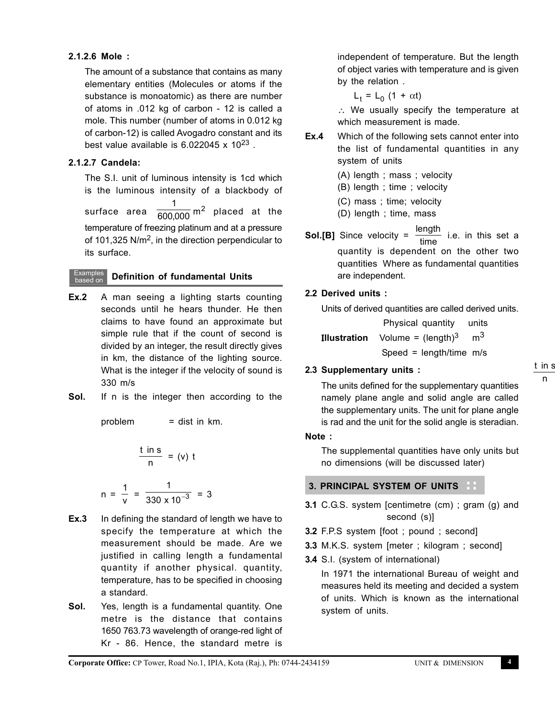# **2.1.2.6 Mole :**

The amount of a substance that contains as many elementary entities (Molecules or atoms if the substance is monoatomic) as there are number of atoms in .012 kg of carbon - 12 is called a mole. This number (number of atoms in 0.012 kg of carbon-12) is called Avogadro constant and its best value available is  $6.022045 \times 10^{23}$ .

#### **2.1.2.7 Candela:**

The S.I. unit of luminous intensity is 1cd which is the luminous intensity of a blackbody of

surface area  $\frac{1}{600,\!000}$  m<sup>2</sup> placed at the temperature of freezing platinum and at a pressure of 101,325 N/ $m<sup>2</sup>$ , in the direction perpendicular to its surface.

#### Examples **Definition of fundamental Units**

- **Ex.2** A man seeing a lighting starts counting seconds until he hears thunder. He then claims to have found an approximate but simple rule that if the count of second is divided by an integer, the result directly gives in km, the distance of the lighting source. What is the integer if the velocity of sound is 330 m/s
- **Sol.** If n is the integer then according to the

problem  $=$  dist in  $km$ .

$$
\frac{\text{t in s}}{\text{n}} = \text{(v) t}
$$

$$
n = \frac{1}{v} = \frac{1}{330 \times 10^{-3}} = 3
$$

- **Ex.3** In defining the standard of length we have to specify the temperature at which the measurement should be made. Are we justified in calling length a fundamental quantity if another physical. quantity, temperature, has to be specified in choosing a standard.
- **Sol.** Yes, length is a fundamental quantity. One metre is the distance that contains 1650 763.73 wavelength of orange-red light of Kr - 86. Hence, the standard metre is

independent of temperature. But the length of object varies with temperature and is given by the relation .

 $L_t = L_0 (1 + \alpha t)$ 

∴ We usually specify the temperature at which measurement is made.

- **Ex.4** Which of the following sets cannot enter into the list of fundamental quantities in any system of units
	- (A) length ; mass ; velocity
	- (B) length ; time ; velocity
	- (C) mass ; time; velocity
	- (D) length ; time, mass
- **Sol.[B]** Since velocity =  $\frac{\text{length}}{\text{time}}$  i.e. in this set a quantity is dependent on the other two quantities Where as fundamental quantities are independent.

#### **2.2 Derived units :**

Units of derived quantities are called derived units.

 Physical quantity units **Illustration** Volume =  $(\text{length})^3$  m<sup>3</sup> Speed = length/time m/s

**2.3 Supplementary units :**

t in s n

The units defined for the supplementary quantities namely plane angle and solid angle are called the supplementary units. The unit for plane angle is rad and the unit for the solid angle is steradian.

#### **Note :**

The supplemental quantities have only units but no dimensions (will be discussed later)

# **3. PRINCIPAL SYSTEM OF UNITS**

- **3.1** C.G.S. system [centimetre (cm) ; gram (g) and second (s)]
- **3.2** F.P.S system [foot ; pound ; second]
- **3.3** M.K.S. system [meter ; kilogram ; second]
- **3.4** S.I. (system of international)

In 1971 the international Bureau of weight and measures held its meeting and decided a system of units. Which is known as the international system of units.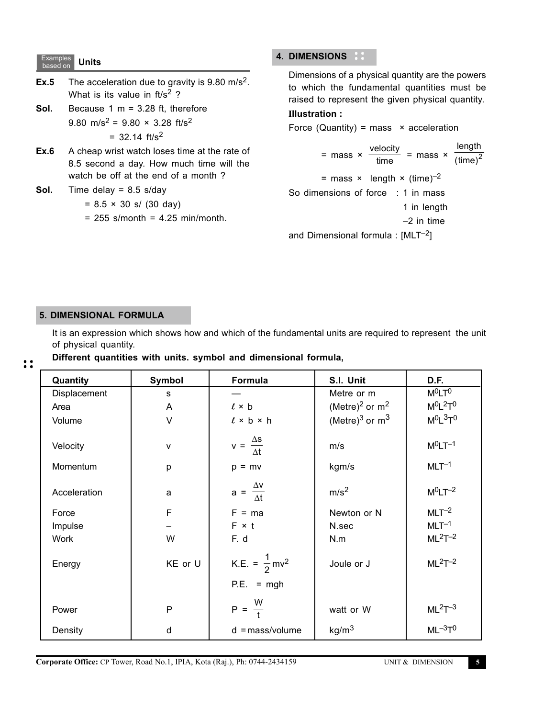#### Examples **Units**

- **Ex.5** The acceleration due to gravity is 9.80 m/s<sup>2</sup>. What is its value in  $ft/s^2$  ?
- **Sol.** Because 1 m = 3.28 ft, therefore 9.80 m/s<sup>2</sup> = 9.80  $\times$  3.28 ft/s<sup>2</sup>  $=$  32.14 ft/s<sup>2</sup>
- **Ex.6** A cheap wrist watch loses time at the rate of 8.5 second a day. How much time will the watch be off at the end of a month ?

**Sol.** Time delay = 8.5 s/day

$$
= 8.5 \times 30 \text{ s} / (30 \text{ day})
$$

 $= 255$  s/month  $= 4.25$  min/month.

# **4. DIMENSIONS**

Dimensions of a physical quantity are the powers to which the fundamental quantities must be raised to represent the given physical quantity.

# Ι**llustration :**

Force (Quantity) = mass  $\times$  acceleration  $=$  mass  $\times \frac{\text{velocity}}{\text{time}} = \text{mass} \times \frac{\text{velocity}}{\text{time}}$ length  $\left($  time $\right) ^2$ = mass  $\times$  length  $\times$  (time)<sup>-2</sup> So dimensions of force : 1 in mass 1 in length –2 in time and Dimensional formula :  $[MLT^{-2}]$ 

# **5. DIMENSIONAL FORMULA**

It is an expression which shows how and which of the fundamental units are required to represent the unit of physical quantity.

#### $\ddot{\cdot}$

|  |  |  | Different quantities with units. symbol and dimensional formula, |  |
|--|--|--|------------------------------------------------------------------|--|
|  |  |  |                                                                  |  |

| Quantity     | Symbol       | Formula                              | S.I. Unit                    | D.F.           |
|--------------|--------------|--------------------------------------|------------------------------|----------------|
| Displacement | s            |                                      | Metre or m                   | $M^0LT^0$      |
| Area         | A            | $l \times b$                         | (Metre) <sup>2</sup> or $m2$ | $M^0L^2T^0$    |
| Volume       | $\vee$       | $l \times b \times h$                | (Metre) <sup>3</sup> or $m3$ | $M^0L^3T^0$    |
| Velocity     | $\mathsf{v}$ | $v = \frac{\Delta s}{\Delta t}$      | m/s                          | $M^0LT^{-1}$   |
| Momentum     | p            | $p = mv$                             | kgm/s                        | $MLT^{-1}$     |
| Acceleration | a            | $a = \frac{\Delta v}{\Delta t}$      | m/s <sup>2</sup>             | $M^0LT^{-2}$   |
| Force        | $\mathsf F$  | $F = ma$                             | Newton or N                  | $MLT^{-2}$     |
| Impulse      |              | $F \times t$                         | N.sec                        | $MLT-1$        |
| Work         | W            | F. d                                 | N.m                          | $ML2T-2$       |
| Energy       | KE or U      | K.E. = $\frac{1}{2}$ mv <sup>2</sup> | Joule or J                   | $ML2T-2$       |
|              |              | $P.E. = mgh$                         |                              |                |
| Power        | P            | $P = \frac{W}{t}$                    | watt or W                    | $ML2T-3$       |
| Density      | d            | $d = mass/volume$                    | kg/m <sup>3</sup>            | $ML^{-3}T^{0}$ |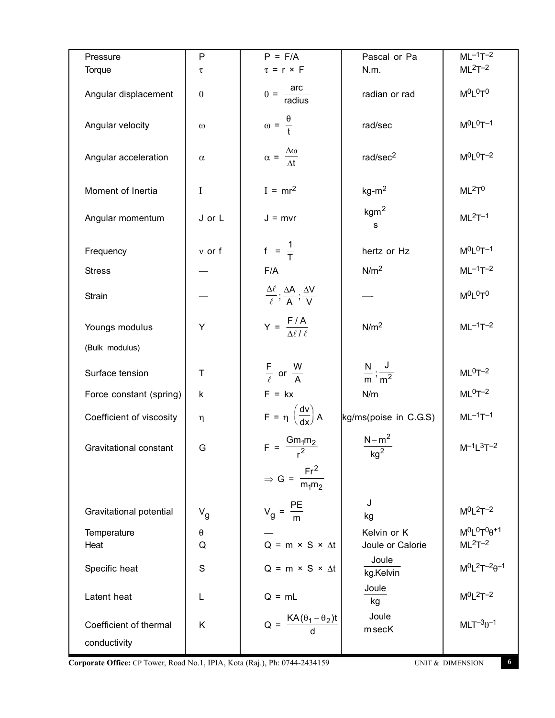| Pressure                 | $\mathsf{P}$          | $P = F/A$                                                               | Pascal or Pa                     | $ML^{-1}T^{-2}$                |
|--------------------------|-----------------------|-------------------------------------------------------------------------|----------------------------------|--------------------------------|
| Torque                   | $\tau$                | $\tau = r \times F$                                                     | N.m.                             | $ML2T-2$                       |
| Angular displacement     | $\boldsymbol{\theta}$ | $\theta = \frac{arc}{radius}$                                           | radian or rad                    | $M^0L^0T^0$                    |
| Angular velocity         | $\omega$              | $\omega = \frac{\theta}{t}$                                             | rad/sec                          | $M^{0}L^{0}T^{-1}$             |
| Angular acceleration     | $\alpha$              | $\alpha = \frac{\Delta \omega}{\Delta t}$                               | rad/sec <sup>2</sup>             | $M^0L^0T^{-2}$                 |
| Moment of Inertia        | I                     | $I = mr^2$                                                              | $kg-m2$                          | ML <sup>2</sup> T <sup>0</sup> |
| Angular momentum         | J or L                | $J = mvr$                                                               | kgm <sup>2</sup><br>$\mathbf{s}$ | $ML2T-1$                       |
| Frequency                | $v$ or $f$            | $f = \frac{1}{T}$                                                       | hertz or Hz                      | $M^{0}L^{0}T^{-1}$             |
| <b>Stress</b>            |                       | F/A                                                                     | N/m <sup>2</sup>                 | $ML^{-1}T^{-2}$                |
| Strain                   |                       | $\frac{\Delta\ell}{\ell}$ ; $\frac{\Delta A}{A}$ ; $\frac{\Delta V}{V}$ |                                  | MOLOTO                         |
| Youngs modulus           | Y                     | $Y = \frac{F/A}{\Delta \ell / \ell}$                                    | N/m <sup>2</sup>                 | $ML^{-1}T^{-2}$                |
| (Bulk modulus)           |                       |                                                                         |                                  |                                |
| Surface tension          | T                     | $rac{F}{\ell}$ or $rac{W}{A}$                                           | $\frac{N}{m}$ ; $\frac{J}{m^2}$  | $ML0T-2$                       |
| Force constant (spring)  | k                     | $F = kx$                                                                | N/m                              | $ML0T-2$                       |
| Coefficient of viscosity | η                     | $F = \eta \left( \frac{dv}{dx} \right) A$                               | kg/ms(poise in C.G.S)            | $ML^{-1}T^{-1}$                |
| Gravitational constant   | G                     | $F = \frac{Gm_1m_2}{r^2}$                                               | $\frac{N-m^2}{kg^2}$             | $M^{-1}L^{3}T^{-2}$            |
|                          |                       | $\Rightarrow G = \frac{Fr^2}{m_1m_2}$                                   |                                  |                                |
| Gravitational potential  | $V_g$                 | $V_g = \frac{PE}{m}$                                                    | J<br>kg                          | $M^0L^2T^{-2}$                 |
| Temperature              | $\theta$              |                                                                         | Kelvin or K                      | $M^0L^0T^0\theta^{+1}$         |
| Heat                     | Q                     | $Q = m \times S \times \Delta t$                                        | Joule or Calorie                 | $ML2T-2$                       |
| Specific heat            | $\mathsf S$           | $Q = m \times S \times \Delta t$                                        | Joule<br>kg.Kelvin               | $M^0L^2T^{-2}\theta^{-1}$      |
| Latent heat              | L                     | $Q = mL$                                                                | Joule<br>kg                      | $M^0L^2T^{-2}$                 |
| Coefficient of thermal   | K                     | $Q = \frac{KA(\theta_1 - \theta_2)t}{d}$                                | Joule<br>msecK                   | $MLT^{-3}\theta^{-1}$          |
| conductivity             |                       |                                                                         |                                  |                                |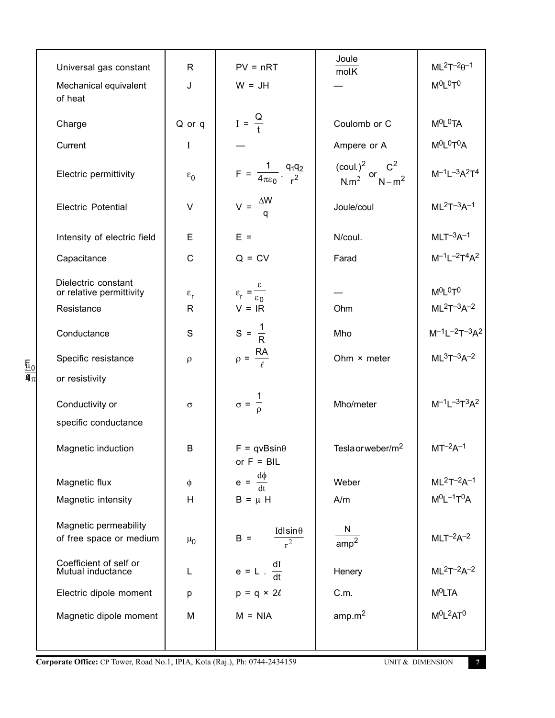|                                                               |                      |                                                                 | Joule                                            |                                                |
|---------------------------------------------------------------|----------------------|-----------------------------------------------------------------|--------------------------------------------------|------------------------------------------------|
| Universal gas constant                                        | R                    | $PV = nRT$                                                      | mol.K                                            | $ML^2T^{-2}\theta^{-1}$                        |
| Mechanical equivalent<br>of heat                              | J                    | $W = JH$                                                        |                                                  | $M^0L^0T^0$                                    |
| Charge                                                        | Q or q               | $I = \frac{Q}{t}$                                               | Coulomb or C                                     | $M^0L^0TA$                                     |
| Current                                                       | $\mathbf I$          |                                                                 | Ampere or A                                      | M <sup>O</sup> L <sup>O</sup> T <sup>O</sup> A |
| Electric permittivity                                         | $\varepsilon_0$      | $F = \frac{1}{4\pi\epsilon_0} \cdot \frac{q_1 q_2}{r^2}$        | $\frac{(coul.)^2}{N.m^2}$ or $\frac{C^2}{N-m^2}$ | $M^{-1}L^{-3}A^{2}T^{4}$                       |
| <b>Electric Potential</b>                                     | $\vee$               | $V = \frac{\Delta W}{q}$                                        | Joule/coul                                       | $ML^2T^{-3}A^{-1}$                             |
| Intensity of electric field                                   | E                    | $E =$                                                           | N/coul.                                          | $MLT^{-3}A^{-1}$                               |
| Capacitance                                                   | $\mathsf{C}$         | $Q = CV$                                                        | Farad                                            | $M^{-1}L^{-2}T^{4}A^{2}$                       |
| Dielectric constant<br>or relative permittivity<br>Resistance | $\varepsilon_r$<br>R | $\varepsilon_r = \frac{\varepsilon}{\varepsilon_0}$<br>$V = IR$ | Ohm                                              | $M^0L^0T^0$<br>$ML^2T^{-3}A^{-2}$              |
| Conductance                                                   | S                    | $S = \frac{1}{R}$                                               | Mho                                              | $M^{-1}L^{-2}T^{-3}A^2$                        |
| Specific resistance                                           | $\rho$               | $ho = \frac{RA}{\rho}$                                          | Ohm × meter                                      | $ML3T-3A-2$                                    |
| or resistivity                                                |                      |                                                                 |                                                  |                                                |
| Conductivity or                                               | $\sigma$             | $\sigma = \frac{1}{\rho}$                                       | Mho/meter                                        | $M^{-1}L^{-3}T^{3}A^{2}$                       |
| specific conductance                                          |                      |                                                                 |                                                  |                                                |
| Magnetic induction                                            | B                    | $F = qvBsin\theta$<br>or $F = BIL$                              | Tesla or weber/m <sup>2</sup>                    | $MT^{-2}A^{-1}$                                |
| Magnetic flux                                                 | $\phi$               | $e = \frac{d\phi}{dt}$                                          | Weber                                            | $ML^2T^{-2}A^{-1}$                             |
| Magnetic intensity                                            | H                    | $B = \mu H$                                                     | A/m                                              | $M^0L^{-1}T^0A$                                |
|                                                               |                      |                                                                 |                                                  |                                                |
| Magnetic permeability<br>of free space or medium              | $\mu_0$              | Idlsin $\theta$<br>$B =$<br>$\overline{r^2}$                    | N<br>$\overline{amp^2}$                          | $MLT^{-2}A^{-2}$                               |
| Coefficient of self or<br>Mutual inductance                   | L                    | $e = L \cdot \frac{dI}{dt}$                                     | Henery                                           | $ML^{2}T^{-2}A^{-2}$                           |
| Electric dipole moment                                        | р                    | $p = q \times 2\ell$                                            | C.m.                                             | M <sup>0</sup> LTA                             |
| Magnetic dipole moment                                        | M                    | $M = NIA$                                                       | amp.m <sup>2</sup>                               | $M^0L^2AT^0$                                   |
|                                                               |                      |                                                                 |                                                  |                                                |

**Corporate Office:** CP Tower, Road No.1, IPIA, Kota (Raj.), Ph: 0744-2434159 UNIT & DIMENSION **7** 

F q µ π 0 4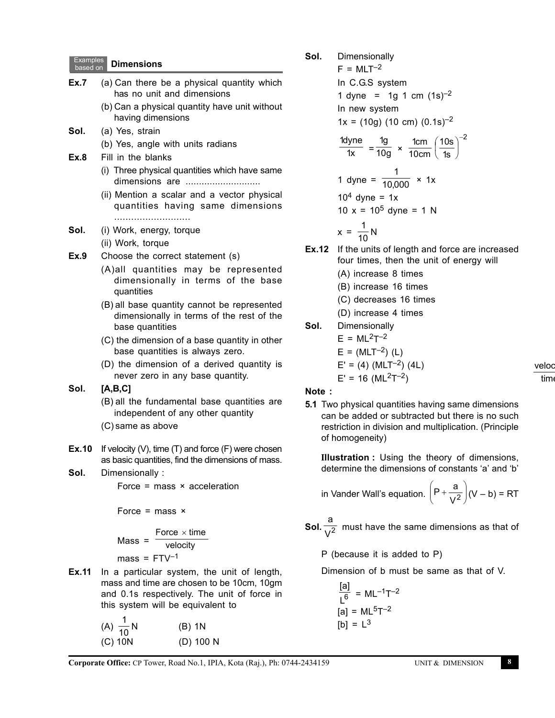| <b>Examples</b><br>based on | <b>Dimensions</b>                                                                                                                                                                                                                                                                                                                                                                                                             |
|-----------------------------|-------------------------------------------------------------------------------------------------------------------------------------------------------------------------------------------------------------------------------------------------------------------------------------------------------------------------------------------------------------------------------------------------------------------------------|
| Ex.7                        | (a) Can there be a physical quantity which<br>has no unit and dimensions                                                                                                                                                                                                                                                                                                                                                      |
|                             | (b) Can a physical quantity have unit without<br>having dimensions                                                                                                                                                                                                                                                                                                                                                            |
| Sol.                        | (a) Yes, strain                                                                                                                                                                                                                                                                                                                                                                                                               |
|                             | (b) Yes, angle with units radians                                                                                                                                                                                                                                                                                                                                                                                             |
| Ex.8                        | Fill in the blanks                                                                                                                                                                                                                                                                                                                                                                                                            |
|                             | (i) Three physical quantities which have same<br>dimensions are                                                                                                                                                                                                                                                                                                                                                               |
|                             | (ii) Mention a scalar and a vector physical                                                                                                                                                                                                                                                                                                                                                                                   |
|                             | quantities having same dimensions                                                                                                                                                                                                                                                                                                                                                                                             |
|                             |                                                                                                                                                                                                                                                                                                                                                                                                                               |
| Sol.                        | (i) Work, energy, torque<br>(ii) Work, torque                                                                                                                                                                                                                                                                                                                                                                                 |
| Ex.9                        | Choose the correct statement (s)                                                                                                                                                                                                                                                                                                                                                                                              |
|                             | (A) all quantities may be represented                                                                                                                                                                                                                                                                                                                                                                                         |
|                             | dimensionally in terms of the base                                                                                                                                                                                                                                                                                                                                                                                            |
|                             | quantities                                                                                                                                                                                                                                                                                                                                                                                                                    |
|                             | (B) all base quantity cannot be represented<br>dimensionally in terms of the rest of the                                                                                                                                                                                                                                                                                                                                      |
|                             | base quantities                                                                                                                                                                                                                                                                                                                                                                                                               |
|                             | (C) the dimension of a base quantity in other<br>base quantities is always zero.                                                                                                                                                                                                                                                                                                                                              |
|                             | (D) the dimension of a derived quantity is                                                                                                                                                                                                                                                                                                                                                                                    |
|                             | never zero in any base quantity.                                                                                                                                                                                                                                                                                                                                                                                              |
| Sol.                        | [A,B,C]                                                                                                                                                                                                                                                                                                                                                                                                                       |
|                             | (B) all the fundamental base quantities are                                                                                                                                                                                                                                                                                                                                                                                   |
|                             | independent of any other quantity<br>(C) same as above                                                                                                                                                                                                                                                                                                                                                                        |
|                             |                                                                                                                                                                                                                                                                                                                                                                                                                               |
| Ex.10                       | If velocity $(V)$ , time $(T)$ and force $(F)$ were chosen                                                                                                                                                                                                                                                                                                                                                                    |
|                             | as basic quantities, find the dimensions of mass.                                                                                                                                                                                                                                                                                                                                                                             |
| Sol.                        | Dimensionally:                                                                                                                                                                                                                                                                                                                                                                                                                |
|                             | Force = mass $\times$ acceleration                                                                                                                                                                                                                                                                                                                                                                                            |
|                             | Force = mass $\times$                                                                                                                                                                                                                                                                                                                                                                                                         |
|                             | Force $\times$ time                                                                                                                                                                                                                                                                                                                                                                                                           |
|                             | Mass = $\frac{1}{\sqrt{\frac{1}{\sqrt{1+\frac{1}{\sqrt{1+\frac{1}{\sqrt{1+\frac{1}{\sqrt{1+\frac{1}{\sqrt{1+\frac{1}{\sqrt{1+\frac{1}{\sqrt{1+\frac{1}{\sqrt{1+\frac{1}{\sqrt{1+\frac{1}{\sqrt{1+\frac{1}{\sqrt{1+\frac{1}{\sqrt{1+\frac{1}{\sqrt{1+\frac{1}{\sqrt{1+\frac{1}{\sqrt{1+\frac{1}{\sqrt{1+\frac{1}{\sqrt{1+\frac{1}{\sqrt{1+\frac{1}{\sqrt{1+\frac{1}{\sqrt{1+\frac{1}{\sqrt{1+\frac{1}{\sqrt{1+\frac{1}{\sqrt{$ |
|                             | mass = $FTV^{-1}$                                                                                                                                                                                                                                                                                                                                                                                                             |
| Ex.11                       | In a particular system, the unit of length,<br>mass and time are chosen to be 10cm, 10gm                                                                                                                                                                                                                                                                                                                                      |
|                             | and 0.1s respectively. The unit of force in                                                                                                                                                                                                                                                                                                                                                                                   |
|                             | this system will be equivalent to                                                                                                                                                                                                                                                                                                                                                                                             |
|                             | (A) $\frac{1}{10}$ N<br>$(B)$ 1N                                                                                                                                                                                                                                                                                                                                                                                              |
|                             |                                                                                                                                                                                                                                                                                                                                                                                                                               |

(C) 10N (D) 100 N

**Sol.** Dimensionally

 $F = MLT^{-2}$ In C.G.S system 1 dyne = 1g 1 cm  $(1s)^{-2}$ In new system

 $1x = (10g) (10 cm) (0.1s)^{-2}$ 

1x 1dyne  $=\frac{1}{10g}$ 1g  $\times$   $\frac{1cm}{10cm} \left(\frac{10s}{1s}\right)^{-2}$ 1s  $\left(\frac{10s}{1}\right)^{-1}$ J  $\left(\frac{10s}{4}\right)$ Y ſ 1 dyne  $=$ 1  $\frac{10,000}{}$  × 1x  $10<sup>4</sup>$  dyne = 1x 10  $x = 10^5$  dyne = 1 N

$$
x = \frac{1}{10} N
$$

**Ex.12** If the units of length and force are increased four times, then the unit of energy will

- (A) increase 8 times
- (B) increase 16 times
- (C) decreases 16 times
- (D) increase 4 times

**Sol.** Dimensionally  $\cdots$   $2-2$ 

$$
E = ML^2T^{-2}
$$
  
 $F = (MLT^{-2})(1)$ 

$$
E = (\text{WEL} \mid \text{E})
$$
  

$$
F' = (4) \ (M \mid T^{-2}) \ (4 \mid \text{E})
$$

$$
E' = (4)(ML^{2}T^{-2})
$$

**Note :**

**5.1** Two physical quantities having same dimensions can be added or subtracted but there is no such restriction in division and multiplication. (Principle of homogeneity)

Ι**llustration :** Using the theory of dimensions, determine the dimensions of constants 'a' and 'b'

in Vander Wall's equation. 
$$
\left(P + \frac{a}{V^2}\right)(V - b) = RT
$$

**Sol.** a  $\overline{\mathsf{V}^2}\;$  must have the same dimensions as that of

P (because it is added to P)

Dimension of b must be same as that of V.

$$
\frac{[a]}{L^{6}} = ML^{-1}T^{-2}
$$
  
[a] = ML<sup>5</sup>T<sup>-2</sup>  
[b] = L<sup>3</sup>

**Corporate Office:** CP Tower, Road No.1, IPIA, Kota (Raj.), Ph: 0744-2434159 UNIT & DIMENSION **8**

veloc time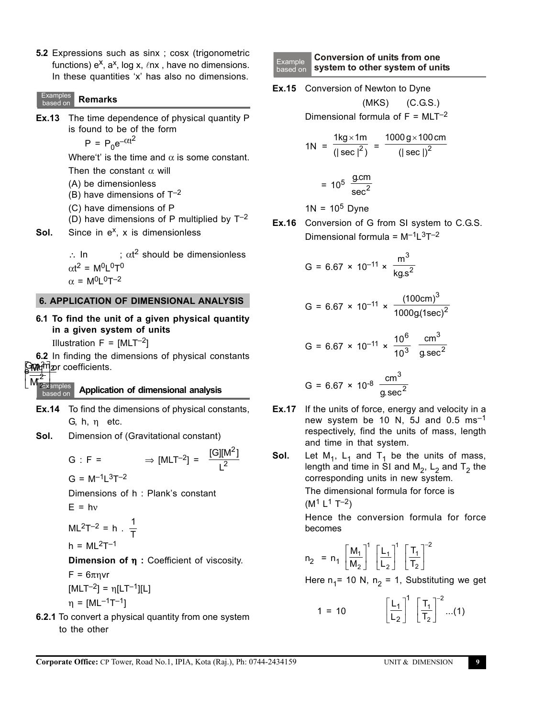**5.2** Expressions such as sinx ; cosx (trigonometric functions)  $e^X$ ,  $a^X$ , log x,  $\ell$ nx, have no dimensions. In these quantities 'x' has also no dimensions.

#### Examples based on **Remarks**

**Ex.13** The time dependence of physical quantity P is found to be of the form  $P = P_0 e^{-\alpha t^2}$ 

Where't' is the time and  $\alpha$  is some constant.

Then the constant  $\alpha$  will

- (A) be dimensionless
- (B) have dimensions of  $T^{-2}$
- (C) have dimensions of P
- (D) have dimensions of P multiplied by  $T^{-2}$
- **Sol.** Since in e<sup>x</sup>, x is dimensionless

∴ In  $\blacksquare$ ;  $\alpha t^2$  should be dimensionless  $\alpha$ t<sup>2</sup> = M<sup>0</sup>L<sup>0</sup>T<sup>0</sup>  $\alpha = M^0L^0T^{-2}$ 

# **6. APPLICATION OF DIMENSIONAL ANALYSIS**

**6.1 To find the unit of a given physical quantity in a given system of units**

Illustration  $F = [MLT^{-2}]$ 

r

M 2

Gm*a*n<sub>2</sub> coefficients. **6.2** In finding the dimensions of physical constants 2 C<br>e  $\overline{\phantom{a}}$  $\frac{Gm}{\sqrt{2}}$  $\times$ n<br>]

#### **Examples** based on **Application of dimensional analysis**

**Ex.14** To find the dimensions of physical constants, G, h, η etc.

2

L [G][M<sup>∠</sup>]

**Sol.** Dimension of (Gravitational constant)

$$
G : F = \Rightarrow [MLT^{-2}] = \frac{[G][N]}{L^2}
$$
  
\n
$$
G = M^{-1}L^3T^{-2}
$$
  
\nDimensions of h : Plank's constant  
\n
$$
E = hv
$$

$$
ML^{2}T^{-2} = h \cdot \frac{1}{T}
$$

$$
h = ML^2T^{-1}
$$

**Dimension of** η **:** Coefficient of viscosity.

 $F = 6\pi nvr$ 

$$
[MLT^{-2}] = \eta [LT^{-1}][L]
$$

$$
\eta = [ML^{-1}T^{-1}]
$$

**6.2.1** To convert a physical quantity from one system to the other

- Example based on **Conversion of units from one system to other system of units**
- **Ex.15** Conversion of Newton to Dyne

 (MKS) (C.G.S.) Dimensional formula of  $F = MLT^{-2}$ 

$$
1N = \frac{1kg \times 1m}{(|\sec|^2)} = \frac{1000 \text{ g} \times 100 \text{ cm}}{(|\sec|)^2}
$$

$$
= 10^5 \frac{\text{g.cm}}{\text{sec}^2}
$$

 $1N = 10^5$  Dyne

**Ex.16** Conversion of G from SI system to C.G.S. Dimensional formula =  $M^{-1}L^{3}T^{-2}$ 

G = 6.67 × 10<sup>-11</sup> × 
$$
\frac{m^3}{\text{kg.s}^2}
$$

$$
G = 6.67 \times 10^{-11} \times \frac{(100 \text{cm})^3}{1000g(\text{1sec})^2}
$$

G = 6.67 × 10<sup>-11</sup> × 
$$
\frac{10^6}{10^3}
$$
  $\frac{\text{cm}^3}{\text{g.sec}^2}$ 

$$
G = 6.67 \times 10^{-8} \frac{cm^3}{g \sec^2}
$$

- **Ex.17** If the units of force, energy and velocity in a new system be 10 N, 5J and 0.5  $\text{ms}^{-1}$ respectively, find the units of mass, length and time in that system.
- **Sol.** Let  $M_1$ ,  $L_1$  and  $T_1$  be the units of mass, length and time in SI and  $M_2$ ,  $L_2$  and  $T_2$  the corresponding units in new system. The dimensional formula for force is  $(M<sup>1</sup> L<sup>1</sup> T<sup>-2</sup>)$

Hence the conversion formula for force becomes

$$
n_2 = n_1 \left[\frac{M_1}{M_2}\right]^1 \left[\frac{L_1}{L_2}\right]^1 \left[\frac{T_1}{T_2}\right]^{-2}
$$

Here  $n_1$ = 10 N,  $n_2$  = 1, Substituting we get

$$
1 = 10 \qquad \qquad \left[\frac{L_1}{L_2}\right]^1 \left[\frac{T_1}{T_2}\right]^{-2} \dots (1)
$$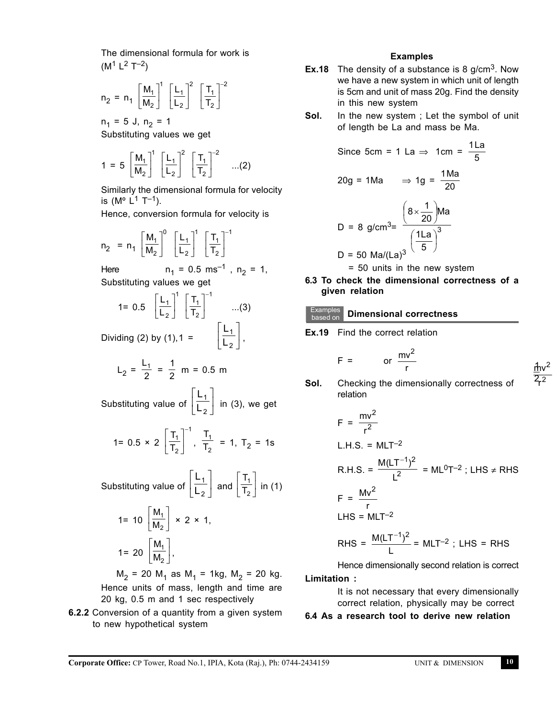The dimensional formula for work is  $(M<sup>1</sup> L<sup>2</sup> T<sup>-2</sup>)$ 

$$
n_2 = n_1 \left[\frac{M_1}{M_2}\right]^1 \left[\frac{L_1}{L_2}\right]^2 \left[\frac{T_1}{T_2}\right]^{-2}
$$

 $n_1 = 5$  J,  $n_2 = 1$ Substituting values we get

$$
1 = 5 \left[\frac{M_1}{M_2}\right]^1 \left[\frac{L_1}{L_2}\right]^2 \left[\frac{T_1}{T_2}\right]^{-2} \quad ...(2)
$$

Similarly the dimensional formula for velocity is ( $M^{\circ}$  L<sup>1</sup> T<sup>-1</sup>).

Hence, conversion formula for velocity is

$$
n_2 = n_1 \left[\frac{M_1}{M_2}\right]^0 \left[\frac{L_1}{L_2}\right]^1 \left[\frac{T_1}{T_2}\right]^{-1}
$$

Here  $n_1 = 0.5$  ms<sup>-1</sup>,  $n_2 = 1$ , Substituting values we get

1= 0.5 
$$
\left[\frac{L_1}{L_2}\right]^1 \left[\frac{T_1}{T_2}\right]^{-1}
$$
 ...(3)  
Dividing (2) by (1), 1 =  $\left[\frac{L_1}{L_2}\right]$ ,

1

 $\overline{\mathsf{L}}$  $\overline{\phantom{a}}$ 

Dividing (2) by (1), 1 =  $\left| \begin{array}{c} \frac{\mathsf{L}}{\mathsf{L}} \\ \end{array} \right|$ 

$$
L_2 = \frac{L_1}{2} = \frac{1}{2} \text{ m} = 0.5 \text{ m}
$$

Substituting value of L L 1  $\left[\frac{\mathsf{L}_1}{\mathsf{L}_2}\right]$  in (3), we get  $\overline{\mathbb{L}}$  $\overline{\mathsf{L}}$  $\begin{array}{c} \end{array}$ 

1= 0.5 × 2 
$$
\left[\frac{T_1}{T_2}\right]^{-1}
$$
,  $\frac{T_1}{T_2}$  = 1,  $T_2$  = 1s

Substituting value of L L 1  $\left[\frac{\mathsf{L}_1}{\mathsf{L}_2}\right]$  and  $\left[\frac{\mathsf{T}}{\mathsf{T}_2}\right]$  $\overline{\mathbb{L}}$  $\overline{\mathsf{L}}$  $\begin{array}{c} \end{array}$ T 1  $\left[\frac{\mathsf{T}_1}{\mathsf{T}_2}\right]$  in (1)  $\overline{\mathbb{L}}$  $\overline{\mathsf{L}}$  $\begin{array}{c} \end{array}$ 

$$
1 = 10 \left[\frac{M_1}{M_2}\right] \times 2 \times 1,
$$

$$
1 = 20 \left[\frac{M_1}{M_2}\right],
$$

 $M_2$  = 20 M<sub>1</sub> as M<sub>1</sub> = 1kg, M<sub>2</sub> = 20 kg. Hence units of mass, length and time are 20 kg, 0.5 m and 1 sec respectively

**6.2.2** Conversion of a quantity from a given system to new hypothetical system

#### **Examples**

- **Ex.18** The density of a substance is 8 g/cm<sup>3</sup>. Now we have a new system in which unit of length is 5cm and unit of mass 20g. Find the density in this new system
- **Sol.** In the new system ; Let the symbol of unit of length be La and mass be Ma.

Since 
$$
5cm = 1
$$
 La  $\Rightarrow$   $1cm = \frac{11a}{5}$   
\n $20g = 1Ma$   $\Rightarrow 1g = \frac{1Ma}{20}$   
\nD = 8 g/cm<sup>3</sup>=  $\frac{\left(8 \times \frac{1}{20}\right)Ma}{\left(\frac{11a}{5}\right)^3}$ 

D = 50 Ma/(La)<sup>3</sup>

= 50 units in the new system

**6.3 To check the dimensional correctness of a given relation**

#### Examples **Dimensional correctness**

**Ex.19** Find the correct relation

$$
F = \qquad \text{or} \ \frac{mv^2}{r} \qquad \qquad \frac{f}{r}v
$$

2

r

2 2

**Sol.** Checking the dimensionally correctness of relation

$$
F = \frac{mv^{2}}{r^{2}}
$$
  
L.H.S. = MLT<sup>-2</sup>  
R.H.S. =  $\frac{M(LT^{-1})^{2}}{L^{2}}$  = ML<sup>0</sup>T<sup>-2</sup>; LHS  $\neq$  RHS  

$$
F = \frac{Mv^{2}}{r}
$$
  
LHS = MLT<sup>-2</sup>  
RHS =  $\frac{M(LT^{-1})^{2}}{L}$  = MLT<sup>-2</sup>; LHS = RHS

Hence dimensionally second relation is correct

#### **Limitation :**

It is not necessary that every dimensionally correct relation, physically may be correct

# **6.4 As a research tool to derive new relation**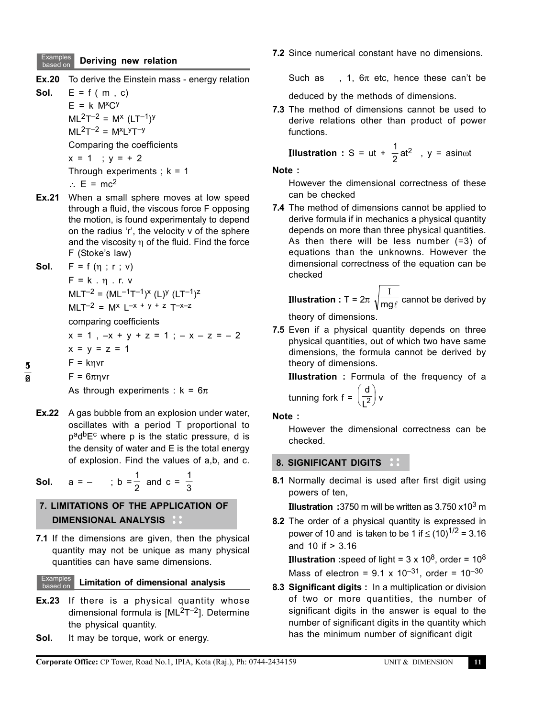#### Examples **Deriving new relation**

- **Ex.20** To derive the Einstein mass energy relation
- **Sol.**  $E = f(m, c)$  $E = k$  M<sup>x</sup>C<sup>y</sup>  $ML^{2}T^{-2} = M^{x} (LT^{-1})^{y}$  $ML^{2}T^{-2} = M^{x}LYT^{-y}$ Comparing the coefficients  $x = 1$  ;  $y = +2$ Through experiments ;  $k = 1$ 
	- ∴  $E = mc^2$
- **Ex.21** When a small sphere moves at low speed through a fluid, the viscous force F opposing the motion, is found experimentaly to depend on the radius 'r', the velocity v of the sphere and the viscosity  $\eta$  of the fluid. Find the force F (Stoke's law)
- **Sol.** F = f (η ; r ; v)

$$
F = k \cdot \eta \cdot r \cdot v
$$
  
MLT<sup>-2</sup> = (ML<sup>-1</sup>T<sup>-1</sup>)<sup>x</sup> (L)<sup>y</sup> (LT<sup>-1</sup>)<sup>z</sup>  
MLT<sup>-2</sup> = M<sup>x</sup> L<sup>-x + y + z</sup> T<sup>-x-z</sup>

comparing coefficients

 $x = 1$ ,  $-x + y + z = 1$ ;  $-x - z = -2$  $-1$ 

$$
x = y = z =
$$

 $F = knvr$ 

 $F = 6\pi nvr$ 

As through experiments :  $k = 6\pi$ 

**Ex.22** A gas bubble from an explosion under water, oscillates with a period T proportional to  $p^a d^b E^c$  where p is the static pressure, d is the density of water and E is the total energy of explosion. Find the values of a,b, and c.

**Sol.**  $a = -$  ;  $b = \frac{1}{2}$  and  $c = \frac{1}{3}$ 3

# **7. LIMITATIONS OF THE APPLICATION OF DIMENSIONAL ANALYSIS**

**7.1** If the dimensions are given, then the physical quantity may not be unique as many physical quantities can have same dimensions.

Examples based on **Limitation of dimensional analysis**

- **Ex.23** If there is a physical quantity whose dimensional formula is [ML<sup>2</sup>T<sup>-2</sup>]. Determine the physical quantity.
- **Sol.** It may be torque, work or energy.

**7.2** Since numerical constant have no dimensions.

Such as deduced by the methods of dimensions.

**7.3** The method of dimensions cannot be used to derive relations other than product of power functions.

**Illustration** : S = ut +  $\frac{1}{2}$  at<sup>2</sup>, y = asinωt

#### **Note :**

However the dimensional correctness of these can be checked

**EX.20** To derive Einstein mass - energy relation<br> **Sol.** E = f (m, c)<br>  $E = f(n \text{ or } 1 \text{ or } k)$ <br>  $M = 7^{-2} = M^x (L^{1-T})^y$ <br>  $M = M^x (L^{1-T})^x$ <br>  $M = M^x (L^{1-T})^x$ <br>  $M = M^x (L^{1-T})^x$ <br>  $M = M^x (L^{1-T})^x$ <br>  $M = M^x (L^{1-T})^x$ <br>  $M = M^x (L^{1-T})^x$ <br>  $M$ **7.4** The method of dimensions cannot be applied to derive formula if in mechanics a physical quantity depends on more than three physical quantities. As then there will be less number (=3) of equations than the unknowns. However the dimensional correctness of the equation can be checked

**Illustration :** T = 2π  $\sqrt{\sf mg\ell}$ I cannot be derived by theory of dimensions.

**7.5** Even if a physical quantity depends on three physical quantities, out of which two have same dimensions, the formula cannot be derived by theory of dimensions.

Ι**llustration :** Formula of the frequency of a tunning fork f = d  $L^2$ ſ  $\left(\frac{d}{L^2}\right)$  v

$$
[unning for k] =
$$

**Note :**

However the dimensional correctness can be checked.

#### **8. SIGNIFICANT DIGITS**

**8.1** Normally decimal is used after first digit using powers of ten,

Ι**llustration :**3750 m will be written as 3.750 x103 m

**8.2** The order of a physical quantity is expressed in power of 10 and is taken to be 1 if ≤  $(10)^{1/2} = 3.16$ and 10 if > 3.16

**Illustration** : speed of light =  $3 \times 10^8$ , order =  $10^8$ Mass of electron =  $9.1 \times 10^{-31}$ , order =  $10^{-30}$ 

**8.3 Significant digits :** In a multiplication or division of two or more quantities, the number of significant digits in the answer is equal to the number of significant digits in the quantity which has the minimum number of significant digit

5  $\overline{a}$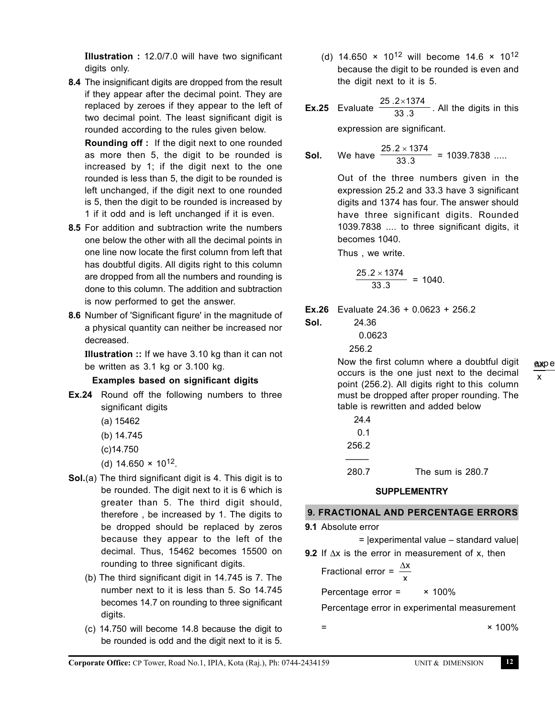Ι**llustration :** 12.0/7.0 will have two significant digits only.

**8.4** The insignificant digits are dropped from the result if they appear after the decimal point. They are replaced by zeroes if they appear to the left of two decimal point. The least significant digit is rounded according to the rules given below.

**Rounding off :** If the digit next to one rounded as more then 5, the digit to be rounded is increased by 1; if the digit next to the one rounded is less than 5, the digit to be rounded is left unchanged, if the digit next to one rounded is 5, then the digit to be rounded is increased by 1 if it odd and is left unchanged if it is even.

- **8.5** For addition and subtraction write the numbers one below the other with all the decimal points in one line now locate the first column from left that has doubtful digits. All digits right to this column are dropped from all the numbers and rounding is done to this column. The addition and subtraction is now performed to get the answer.
- **8.6** Number of 'Significant figure' in the magnitude of a physical quantity can neither be increased nor decreased.

Ι**llustration ::** If we have 3.10 kg than it can not be written as 3.1 kg or 3.100 kg.

# **Examples based on significant digits**

- **Ex.24** Round off the following numbers to three significant digits
	- (a) 15462
	- (b) 14.745
	- (c)14.750
	- (d)  $14.650 \times 10^{12}$ .
- **Sol.**(a) The third significant digit is 4. This digit is to be rounded. The digit next to it is 6 which is greater than 5. The third digit should, therefore , be increased by 1. The digits to be dropped should be replaced by zeros because they appear to the left of the decimal. Thus, 15462 becomes 15500 on rounding to three significant digits.
	- (b) The third significant digit in 14.745 is 7. The number next to it is less than 5. So 14.745 becomes 14.7 on rounding to three significant digits.
	- (c) 14.750 will become 14.8 because the digit to be rounded is odd and the digit next to it is 5.

(d) 14.650  $\times$  10<sup>12</sup> will become 14.6  $\times$  10<sup>12</sup> because the digit to be rounded is even and the digit next to it is 5.

**Ex.25** Evaluate  $\frac{25.2 \times 1374}{33.3}$ . All the digits in this

expression are significant.

**Sol.** We have 
$$
\frac{25.2 \times 1374}{33.3} = 1039.7838 \dots
$$

Out of the three numbers given in the expression 25.2 and 33.3 have 3 significant digits and 1374 has four. The answer should have three significant digits. Rounded 1039.7838 .... to three significant digits, it becomes 1040.

Thus , we write.

$$
\frac{25.2 \times 1374}{33.3} = 1040.
$$

**Ex.26** Evaluate 24.36 + 0.0623 + 256.2

**Sol.** 24.36 0.0623 256.2

> Now the first column where a doubtful digit occurs is the one just next to the decimal point (256.2). All digits right to this column must be dropped after proper rounding. The table is rewritten and added below

| 24.4  |                  |
|-------|------------------|
| 0.1   |                  |
| 256.2 |                  |
|       |                  |
| 280.7 | The sum is 280.7 |

# **SUPPLEMENTRY**

#### **9. FRACTIONAL AND PERCENTAGE ERRORS**

**9.1** Absolute error

=

 = |experimental value – standard value| 9.2 If ∆x is the error in measurement of x, then

Fractional error =  $\frac{dy}{dx}$ ∆x

Percentage error = × 100%

Percentage error in experimental measurement

 $× 100%$ 

x ∆x expe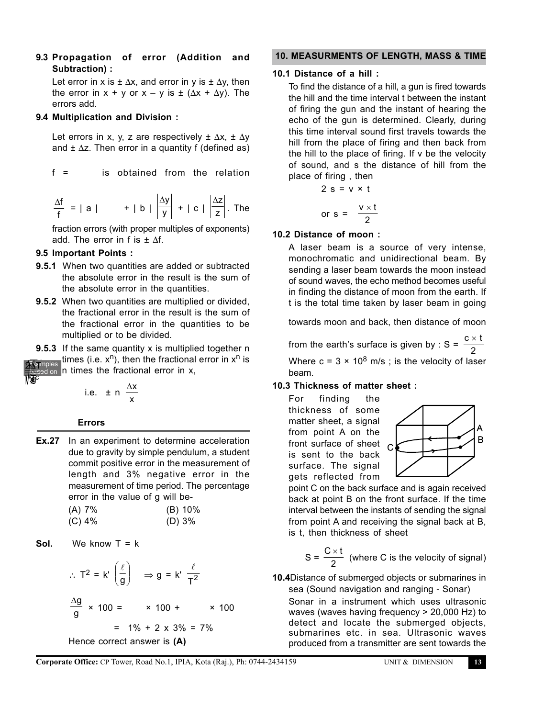**9.3 Propagation of error (Addition and Subtraction) :**

Let error in x is  $\pm \Delta x$ , and error in y is  $\pm \Delta y$ , then the error in  $x + y$  or  $x - y$  is  $\pm (\Delta x + \Delta y)$ . The errors add.

#### **9.4 Multiplication and Division :**

Let errors in x, y, z are respectively  $\pm \Delta x$ ,  $\pm \Delta y$ and  $\pm \Delta z$ . Then error in a quantity f (defined as)

 $f =$ is obtained from the relation

$$
\frac{\Delta f}{f} = |a| \qquad + |b| \left| \frac{\Delta y}{y} \right| + |c| \left| \frac{\Delta z}{z} \right|.
$$
 The

fraction errors (with proper multiples of exponents) add. The error in f is  $\pm \Delta f$ .

#### **9.5 Important Points :**

- **9.5.1** When two quantities are added or subtracted the absolute error in the result is the sum of the absolute error in the quantities.
- **9.5.2** When two quantities are multiplied or divided, the fractional error in the result is the sum of the fractional error in the quantities to be multiplied or to be divided.
- c  $\overline{k}$ am z 2∦थ x ∆x **9.5.3** If the same quantity x is multiplied together n times (i.e.  $x^n$ ), then the fractional error in  $x^n$  is  $\frac{1}{2}$  amples in times the fractional error in x, based on g l ∆l l  $\overline{\bm{x}}$

i.e. 
$$
\pm n \frac{\Delta x}{x}
$$

#### **Errors**

**Ex.27** In an experiment to determine acceleration due to gravity by simple pendulum, a student commit positive error in the measurement of length and 3% negative error in the measurement of time period. The percentage error in the value of g will be- 2<sup>3</sup><br>
23 The state of n times the fractional error in x,<br>
i.e.  $\pm n \frac{\Delta x}{x}$ <br>
Errors<br>
Ex.27 In an experiment to determine accelera<br>
due to gravity by simple pendulum, a stude<br>
commit positive error in the measurement<br>
len

| (A) 7%   | (B) 10% |
|----------|---------|
| $(C)$ 4% | (D) 3%  |

**Sol.** We know 
$$
T = k
$$

$$
\therefore T^2 = k' \left(\frac{\ell}{g}\right) \implies g = k' \frac{\ell}{T^2}
$$
  

$$
\frac{\Delta g}{g} \times 100 = \times 100 + \times 1
$$
  

$$
= 1\% + 2 \times 3\% = 7\%
$$
  
Hence correct answer is **(A)**

 **10. MEASURMENTS OF LENGTH, MASS & TIME**

#### **10.1 Distance of a hill :**

To find the distance of a hill, a gun is fired towards the hill and the time interval t between the instant of firing the gun and the instant of hearing the echo of the gun is determined. Clearly, during this time interval sound first travels towards the hill from the place of firing and then back from the hill to the place of firing. If v be the velocity of sound, and s the distance of hill from the place of firing , then

$$
2 s = v \times t
$$
  
or 
$$
s = \frac{v \times t}{2}
$$

#### **10.2 Distance of moon :**

A laser beam is a source of very intense, monochromatic and unidirectional beam. By sending a laser beam towards the moon instead of sound waves, the echo method becomes useful in finding the distance of moon from the earth. If t is the total time taken by laser beam in going

towards moon and back, then distance of moon

from the earth's surface is given by : S =  $\frac{c \times t}{2}$ Where  $c = 3 \times 10^8$  m/s; is the velocity of laser beam.

#### **10.3 Thickness of matter sheet :**

For finding the thickness of some matter sheet, a signal from point A on the front surface of sheet  $\overline{C}$ is sent to the back surface. The signal gets reflected from



point C on the back surface and is again received back at point B on the front surface. If the time interval between the instants of sending the signal from point A and receiving the signal back at B, is t, then thickness of sheet

$$
S = \frac{C \times t}{2}
$$
 (where C is the velocity of signal)

**10.4**Distance of submerged objects or submarines in sea (Sound navigation and ranging - Sonar)

Sonar in a instrument which uses ultrasonic waves (waves having frequency > 20,000 Hz) to detect and locate the submerged objects, submarines etc. in sea. Ultrasonic waves produced from a transmitter are sent towards the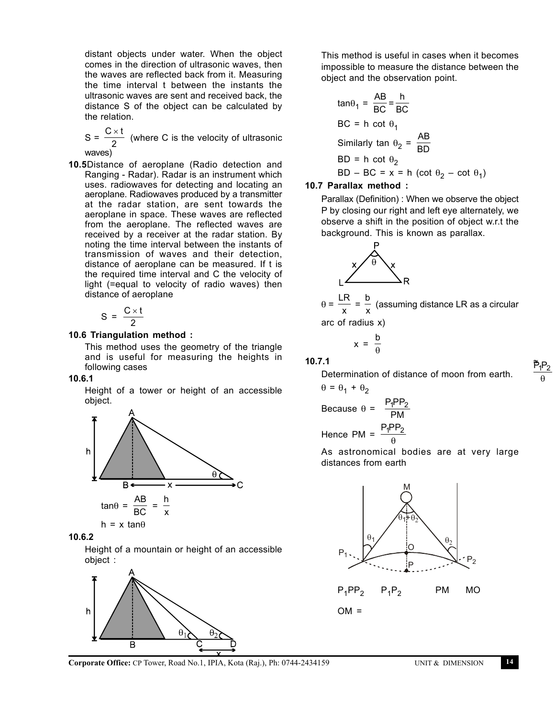distant objects under water. When the object comes in the direction of ultrasonic waves, then the waves are reflected back from it. Measuring the time interval t between the instants the ultrasonic waves are sent and received back, the distance S of the object can be calculated by the relation.

S =  $\frac{C \times t}{2}$  (where C is the velocity of ultrasonic waves)

**10.5**Distance of aeroplane (Radio detection and Ranging - Radar). Radar is an instrument which uses. radiowaves for detecting and locating an aeroplane. Radiowaves produced by a transmitter at the radar station, are sent towards the aeroplane in space. These waves are reflected from the aeroplane. The reflected waves are received by a receiver at the radar station. By noting the time interval between the instants of transmission of waves and their detection, distance of aeroplane can be measured. If t is the required time interval and C the velocity of light (=equal to velocity of radio waves) then distance of aeroplane

$$
S = \frac{C \times t}{2}
$$

#### **10.6 Triangulation method :**

This method uses the geometry of the triangle and is useful for measuring the heights in following cases

#### **10.6.1**

Height of a tower or height of an accessible object.



#### **10.6.2**

Height of a mountain or height of an accessible object :



This method is useful in cases when it becomes impossible to measure the distance between the object and the observation point.

$$
\tan\theta_1 = \frac{AB}{BC} = \frac{h}{BC}
$$
  
BC = h cot  $\theta_1$   
Similarly  $\tan \theta_2 = \frac{AB}{BD}$   
BD = h cot  $\theta_2$   
BD - BC = x = h (cot  $\theta_2$  - cot  $\theta_1$ )

#### **10.7 Parallax method :**

Parallax (Definition) : When we observe the object P by closing our right and left eye alternately, we observe a shift in the position of object w.r.t the background. This is known as parallax.



 $θ = \frac{w}{x}$  $\frac{\text{LR}}{\text{x}} = \frac{\text{b}}{\text{x}}$  (assuming distance LR as a circular arc of radius x)

$$
x = \frac{b}{\theta}
$$

**10.7.1**

≈  $\tilde{P}_1 P_2$ θ



Because 
$$
\theta = \frac{P_1 P P_2}{P M}
$$

Hence PM =  $\frac{P_1 PP_2}{Q_1}$ θ

 $\theta = \theta_1 + \theta_2$ 

As astronomical bodies are at very large distances from earth

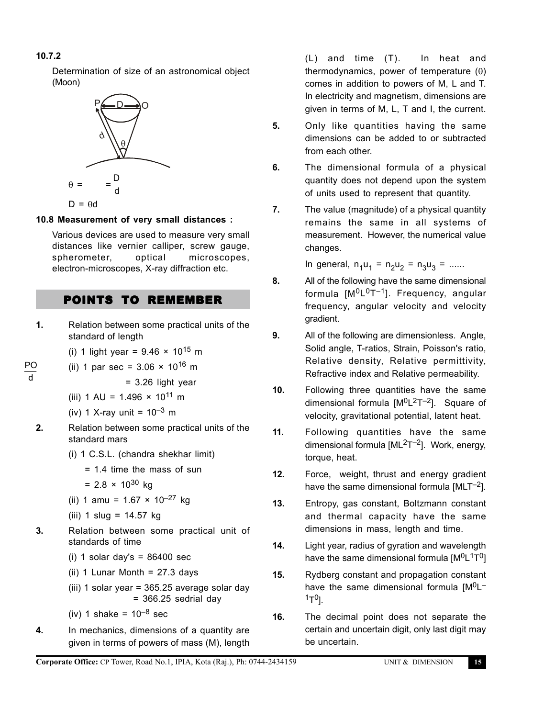# **10.7.2**

Determination of size of an astronomical object (Moon)



# **10.8 Measurement of very small distances :**

Various devices are used to measure very small distances like vernier calliper, screw gauge, spherometer, optical microscopes, electron-microscopes, X-ray diffraction etc.

# POINTS TO REMEMBER

**1.** Relation between some practical units of the standard of length

(i) 1 light year =  $9.46 \times 10^{15}$  m

PO (ii) 1 par sec =  $3.06 \times 10^{16}$  m

d

- = 3.26 light year
- (iii)  $1 \text{ AU} = 1.496 \times 10^{11} \text{ m}$
- (iv) 1 X-ray unit =  $10^{-3}$  m
- **2.** Relation between some practical units of the standard mars
	- (i) 1 C.S.L. (chandra shekhar limit)
		- = 1.4 time the mass of sun
		- $= 2.8 \times 10^{30}$  kg
	- (ii) 1 amu =  $1.67 \times 10^{-27}$  kg
	- (iii)  $1 \text{ slu} = 14.57 \text{ kg}$
- **3.** Relation between some practical unit of standards of time
	- (i) 1 solar day's  $= 86400$  sec
	- (ii) 1 Lunar Month =  $27.3$  days
	- (iii) 1 solar year = 365.25 average solar day  $= 366.25$  sedrial day
	- (iv) 1 shake =  $10^{-8}$  sec
- **4.** In mechanics, dimensions of a quantity are given in terms of powers of mass (M), length

(L) and time (T). In heat and thermodynamics, power of temperature (θ) comes in addition to powers of M, L and T. In electricity and magnetism, dimensions are given in terms of M, L, T and I, the current.

- **5.** Only like quantities having the same dimensions can be added to or subtracted from each other.
- **6.** The dimensional formula of a physical quantity does not depend upon the system of units used to represent that quantity.
- **7.** The value (magnitude) of a physical quantity remains the same in all systems of measurement. However, the numerical value changes.

In general,  $n_1u_1 = n_2u_2 = n_3u_3 =$  ......

- **8.** All of the following have the same dimensional formula  $[M^0L^0T^{-1}]$ . Frequency, angular frequency, angular velocity and velocity gradient.
- **9.** All of the following are dimensionless. Angle, Solid angle, T-ratios, Strain, Poisson's ratio, Relative density, Relative permittivity, Refractive index and Relative permeability.
- **10.** Following three quantities have the same dimensional formula  $[M^{0}L^{2}T^{-2}]$ . Square of velocity, gravitational potential, latent heat.
- **11.** Following quantities have the same dimensional formula  $[ML<sup>2</sup>T<sup>-2</sup>]$ . Work, energy, torque, heat.
- **12.** Force, weight, thrust and energy gradient have the same dimensional formula  $[MLT^{-2}]$ .
- **13.** Entropy, gas constant, Boltzmann constant and thermal capacity have the same dimensions in mass, length and time.
- **14.** Light year, radius of gyration and wavelength have the same dimensional formula  $[M^0L^1T^0]$
- **15.** Rydberg constant and propagation constant have the same dimensional formula  $[M^{0}L^{-}]$  $1T^{0}$ ].
- **16.** The decimal point does not separate the certain and uncertain digit, only last digit may be uncertain.